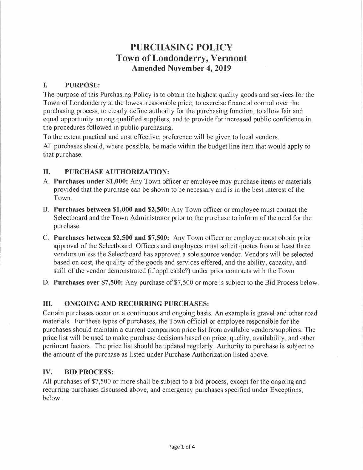# **PURCHASING POLICY Town of Londonderry, Vermont Amended November 4, 2019**

# **I. PURPOSE:**

The purpose of this Purchasing Policy is to obtain the highest quality goods and services for the Town of Londonderry at the lowest reasonable price, to exercise financial control over the purchasing process, to clearly define authority for the purchasing function, to allow fair and equal opportunity among qualified suppliers, and to provide for increased public confidence in the procedures followed in public purchasing.

To the extent practical and cost effective, preference will be given to local vendors. All purchases should, where possible, be made within the budget line item that would apply to that purchase.

# **II. PURCHASE AUTHORIZATION:**

- A. **Purchases under \$1,000:** Any Town officer or employee may purchase items or materials provided that the purchase can be shown to be necessary and is in the best interest of the Town.
- B. **Purchases between \$1,000 and \$2,500:** Any Town officer or employee must contact the Selectboard and the Town Administrator prior to the purchase to inform of the need for the purchase.
- C. **Purchases between \$2,500 and \$7,500:** Any Town officer or employee must obtain prior approval of the Selectboard. Officers and employees must solicit quotes from at least three vendors unless the Selectboard has approved a sole source vendor. Vendors will be selected based on cost, the quality of the goods and services offered, and the ability, capacity, and skill of the vendor demonstrated (if applicable?) under prior contracts with the Town.
- **D. Purchases over \$7,500:** Any purchase of \$7,500 or more is subject to the Bid Process below.

# **III. ONGOING AND RECURRING PURCHASES:**

Certain purchases occur on a continuous and ongoing basis. An example is gravel and other road materials. For these types of purchases, the Town official or employee responsible for the purchases should maintain a current comparison price list from available vendors/suppliers. The price list will be used to make purchase decisions based on price, quality, availability, and other pertinent factors. The price list should be updated regularly. Authority to purchase is subject to the amount of the purchase as listed under Purchase Authorization listed above.

## **IV. BID PROCESS:**

All purchases of \$7,500 or more shall be subject to a bid process, except for the ongoing and recurring purchases discussed above, and emergency purchases specified under Exceptions, below.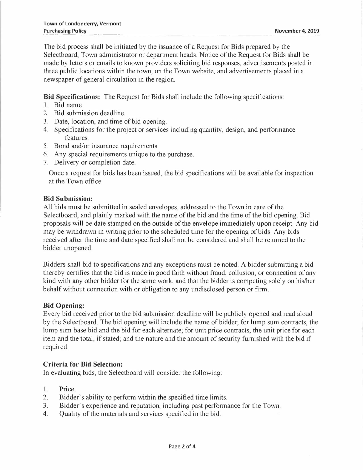The bid process shall be initiated by the issuance of a Request for Bids prepared by the Selectboard, Town administrator or department heads. Notice of the Request for Bids shall be made by letters or emails to known providers soliciting bid responses, advertisements posted in three public locations within the town, on the Town website, and advertisements placed in a newspaper of general circulation in the region.

**Bid Specifications:** The Request for Bids shall include the following specifications:

- 1. Bid name.
- 2. Bid submission deadline.
- 3. Date, location, and time of bid opening.
- 4. Specifications for the project or services including quantity, design, and performance features.
- 5. Bond and/or insurance requirements.
- 6. Any special requirements unique to the purchase.
- 7. Delivery or completion date.

Once a request for bids has been issued, the bid specifications will be available for inspection at the Town office.

#### **Bid Submission:**

All bids must be submitted in sealed envelopes, addressed to the Town in care of the Selectboard, and plainly marked with the name of the bid and the time of the bid opening. Bid proposals will be date stamped on the outside of the envelope immediately upon receipt. Any bid may be withdrawn in writing prior to the scheduled time for the opening of bids. Any bids received after the time and date specified shall not be considered and shall be returned to the bidder unopened.

Bidders shall bid to specifications and any exceptions must be noted. A bidder submitting a bid thereby certifies that the bid is made in good faith without fraud, collusion, or connection of any kind with any other bidder for the same work, and that the bidder is competing solely on his/her behalf without connection with or obligation to any undisclosed person or firm.

#### **Bid Opening:**

Every bid received prior to the bid submission deadline will be publicly opened and read aloud by the Selectboard. The bid opening will include the name of bidder; for lump sum contracts, the lump sum base bid and the bid for each alternate; for unit price contracts, the unit price for each item and the total, if stated; and the nature and the amount of security furnished with the bid if required.

#### **Criteria for Bid Selection:**

In evaluating bids, the Selectboard will consider the following:

- 1. Price.
- 2. Bidder's ability to perform within the specified time limits.
- 3. Bidder's experience and reputation, including past performance for the Town.
- 4. Quality of the materials and services specified in the bid.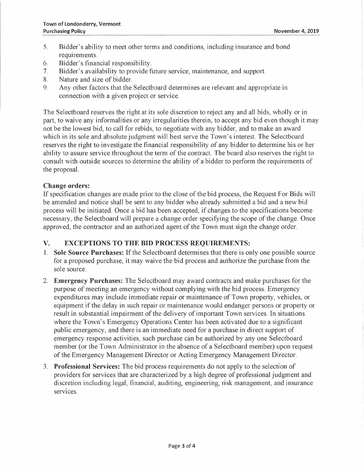- 5. Bidder's ability to meet other terms and conditions, including insurance and bond requirements.
- 6. Bidder's financial responsibility.
- 7. Bidder's availability to provide future service, maintenance, and support.
- 8. Nature and size of bidder.<br>9. Any other factors that the
- Any other factors that the Selectboard determines are relevant and appropriate in connection with a given project or service.

The Selectboard reserves the right at its sole discretion to reject any and all bids, wholly or in part, to waive any informalities or any irregularities therein, to accept any bid even though it may not be the lowest bid, to call for rebids, to negotiate with any bidder, and to make an award which in its sole and absolute judgment will best serve the Town's interest. The Selectboard reserves the right to investigate the financial responsibility of any bidder to determine his or her ability to assure service throughout the term of the contract. The board also reserves the right to consult with outside sources to determine the ability of a bidder to perform the requirements of the proposal.

#### **Change orders:**

If specification changes are made prior to the close of the bid process, the Request For Bids will be amended and notice shall be sent to any bidder who already submitted a bid and a new bid process will be initiated. Once a bid has been accepted, if changes to the specifications become necessary, the Selectboard will prepare a change order specifying the scope of the change. Once approved, the contractor and an authorized agent of the Town must sign the change order.

## **V. EXCEPTIONS TO THE BID PROCESS REQUIREMENTS:**

- 1. **Sole Source Purchases:** If the Selectboard determines that there is only one possible source for a proposed purchase, it may waive the bid process and authorize the purchase from the sole source.
- 2. **Emergency Purchases:** The Selectboard may award contracts and make purchases for the purpose of meeting an emergency without complying with the bid process. Emergency expenditures may include immediate repair or maintenance of Town property, vehicles, or equipment if the delay in such repair or maintenance would endanger persons or property or result in substantial impairment of the delivery of important Town services. In situations where the Town's Emergency Operations Center has been activated due to a significant public emergency, and there is an immediate need for a purchase in direct support of emergency response activities, such purchase can be authorized by any one Selectboard member (or the Town Administrator in the absence of a Selectboard member) upon request of the Emergency Management Director or Acting Emergency Management Director.
- 3. **Professional Services:** The bid process requirements do not apply to the selection of providers for services that are characterized by a high degree of professional judgment and discretion including legal, financial, auditing, engineering, risk management, and insurance services.